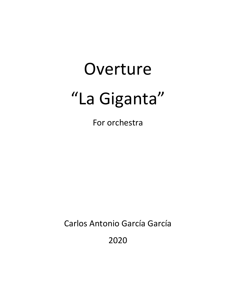## Overture "La Giganta"

For orchestra

Carlos Antonio García García

2020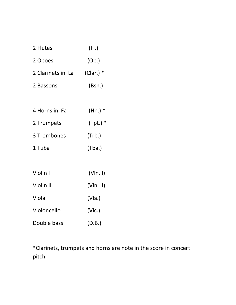| 2 Flutes          | (Fl.)       |
|-------------------|-------------|
| 2 Oboes           | (Ob.)       |
| 2 Clarinets in La | $(Clar.)$ * |
| 2 Bassons         | (Bsn.)      |

| 4 Horns in Fa | $(Hn.)$ *    |
|---------------|--------------|
| 2 Trumpets    | $(Tpt.)$ *   |
| 3 Trombones   | (Trb.)       |
| 1 Tuba        | $($ Tba. $)$ |

| Violin I    | (VIn. I)          |
|-------------|-------------------|
| Violin II   | (VIn. II)         |
| Viola       | (VIa.)            |
| Violoncello | (V <sub>l</sub> ) |
| Double bass | (D.B.)            |

\*Clarinets, trumpets and horns are note in the score in concert pitch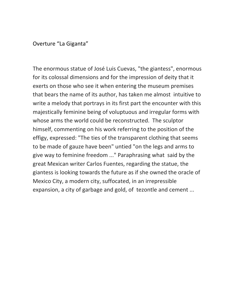Overture "La Giganta"

The enormous statue of José Luis Cuevas, "the giantess", enormous for its colossal dimensions and for the impression of deity that it exerts on those who see it when entering the museum premises that bears the name of its author, has taken me almost intuitive to write a melody that portrays in its first part the encounter with this majestically feminine being of voluptuous and irregular forms with whose arms the world could be reconstructed. The sculptor himself, commenting on his work referring to the position of the effigy, expressed: "The ties of the transparent clothing that seems to be made of gauze have been" untied "on the legs and arms to give way to feminine freedom ..." Paraphrasing what said by the great Mexican writer Carlos Fuentes, regarding the statue, the giantess is looking towards the future as if she owned the oracle of Mexico City, a modern city, suffocated, in an irrepressible expansion, a city of garbage and gold, of tezontle and cement ...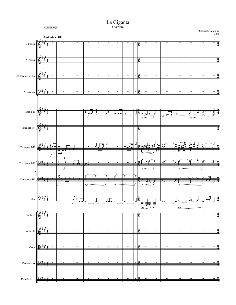

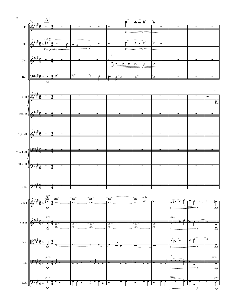

2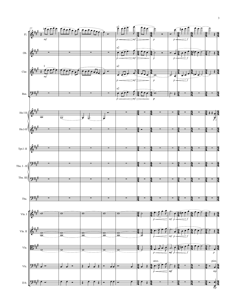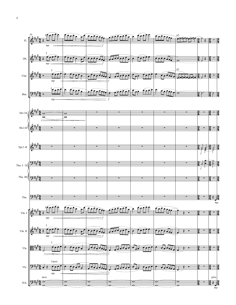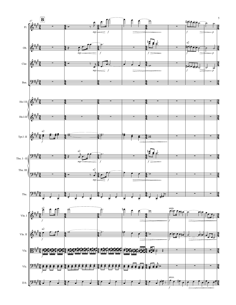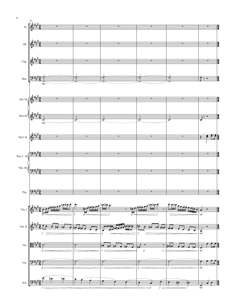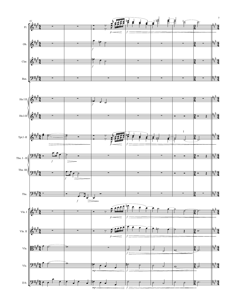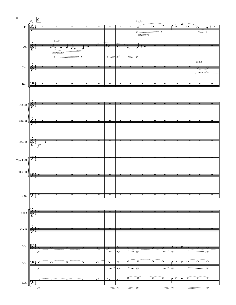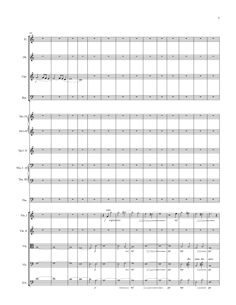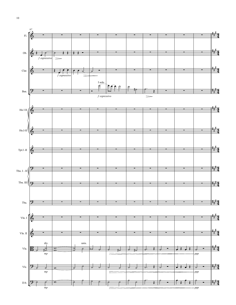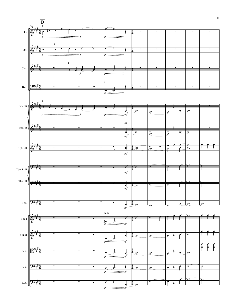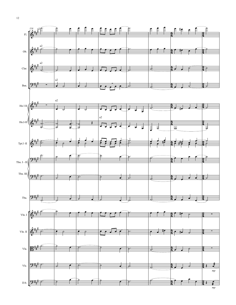